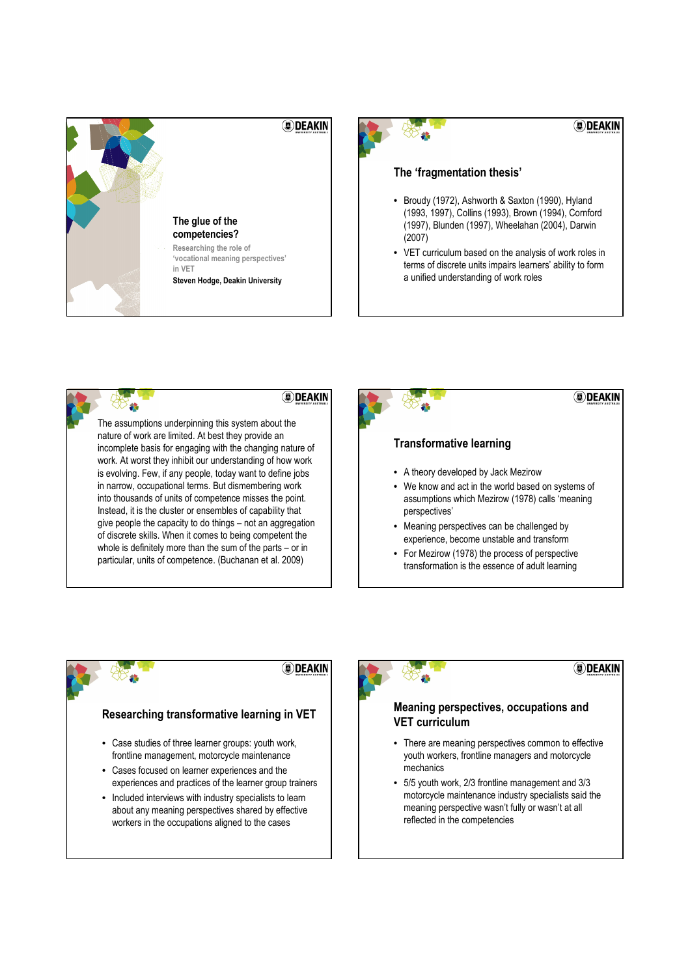







**DEAKIN** 

### Researching transformative learning in VET

- Case studies of three learner groups: youth work, frontline management, motorcycle maintenance
- Cases focused on learner experiences and the experiences and practices of the learner group trainers
- Included interviews with industry specialists to learn about any meaning perspectives shared by effective workers in the occupations aligned to the cases



# **DEAKIN**

## Meaning perspectives, occupations and VET curriculum

- There are meaning perspectives common to effective youth workers, frontline managers and motorcycle mechanics
- 5/5 youth work, 2/3 frontline management and 3/3 motorcycle maintenance industry specialists said the meaning perspective wasn't fully or wasn't at all reflected in the competencies